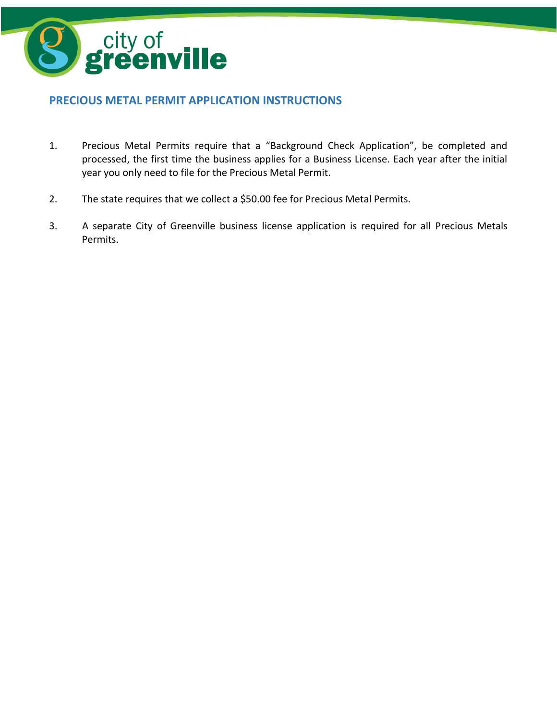

# **PRECIOUS METAL PERMIT APPLICATION INSTRUCTIONS**

- 1. Precious Metal Permits require that a "Background Check Application", be completed and processed, the first time the business applies for a Business License. Each year after the initial year you only need to file for the Precious Metal Permit.
- 2. The state requires that we collect a \$50.00 fee for Precious Metal Permits.
- 3. A separate City of Greenville business license application is required for all Precious Metals Permits.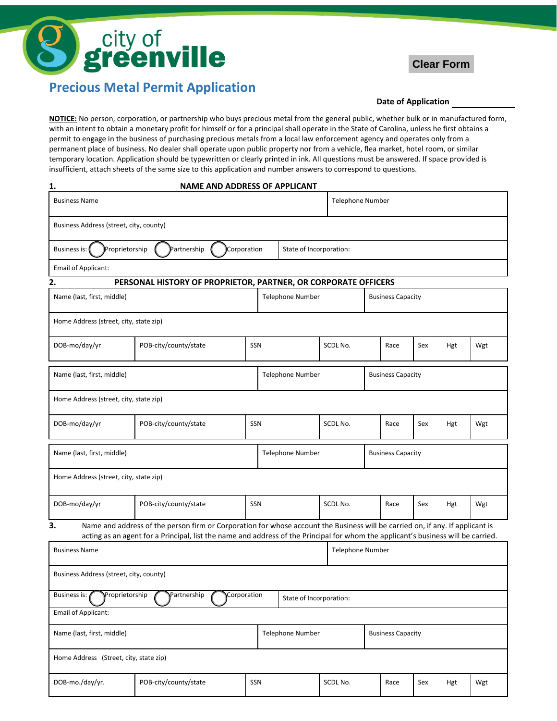



# **Precious Metal Permit Application**

**1. NAME AND ADDRESS OF APPLICANT**

#### **Date of Application**

**NOTICE:** No person, corporation, or partnership who buys precious metal from the general public, whether bulk or in manufactured form, with an intent to obtain a monetary profit for himself or for a principal shall operate in the State of Carolina, unless he first obtains a permit to engage in the business of purchasing precious metals from a local law enforcement agency and operates only from a permanent place of business. No dealer shall operate upon public property nor from a vehicle, flea market, hotel room, or similar temporary location. Application should be typewritten or clearly printed in ink. All questions must be answered. If space provided is insufficient, attach sheets of the same size to this application and number answers to correspond to questions.

| ı.                                                                                                                                                                                                                                                                       | NAIVIE AND ADDRESS OF APPLICANT |     |                         |                         |          |                          |                          |                          |     |     |     |  |
|--------------------------------------------------------------------------------------------------------------------------------------------------------------------------------------------------------------------------------------------------------------------------|---------------------------------|-----|-------------------------|-------------------------|----------|--------------------------|--------------------------|--------------------------|-----|-----|-----|--|
| <b>Business Name</b>                                                                                                                                                                                                                                                     |                                 |     |                         | <b>Telephone Number</b> |          |                          |                          |                          |     |     |     |  |
| Business Address (street, city, county)                                                                                                                                                                                                                                  |                                 |     |                         |                         |          |                          |                          |                          |     |     |     |  |
| Proprietorship<br>Partnership<br>Corporation<br><b>Business is:</b>                                                                                                                                                                                                      |                                 |     |                         | State of Incorporation: |          |                          |                          |                          |     |     |     |  |
| Email of Applicant:                                                                                                                                                                                                                                                      |                                 |     |                         |                         |          |                          |                          |                          |     |     |     |  |
| PERSONAL HISTORY OF PROPRIETOR, PARTNER, OR CORPORATE OFFICERS<br>2.                                                                                                                                                                                                     |                                 |     |                         |                         |          |                          |                          |                          |     |     |     |  |
| Name (last, first, middle)                                                                                                                                                                                                                                               |                                 |     | <b>Telephone Number</b> |                         |          |                          |                          | <b>Business Capacity</b> |     |     |     |  |
| Home Address (street, city, state zip)                                                                                                                                                                                                                                   |                                 |     |                         |                         |          |                          |                          |                          |     |     |     |  |
| DOB-mo/day/yr                                                                                                                                                                                                                                                            | POB-city/county/state           |     | SSN                     |                         | SCDL No. |                          |                          | Race                     | Sex | Hgt | Wgt |  |
| Name (last, first, middle)                                                                                                                                                                                                                                               |                                 |     | <b>Telephone Number</b> |                         |          |                          | <b>Business Capacity</b> |                          |     |     |     |  |
| Home Address (street, city, state zip)                                                                                                                                                                                                                                   |                                 |     |                         |                         |          |                          |                          |                          |     |     |     |  |
| DOB-mo/day/yr                                                                                                                                                                                                                                                            | POB-city/county/state           | SSN |                         |                         |          | SCDL No.                 |                          | Race                     | Sex | Hgt | Wgt |  |
| Name (last, first, middle)                                                                                                                                                                                                                                               |                                 |     | <b>Telephone Number</b> |                         |          |                          |                          | <b>Business Capacity</b> |     |     |     |  |
| Home Address (street, city, state zip)                                                                                                                                                                                                                                   |                                 |     |                         |                         |          |                          |                          |                          |     |     |     |  |
| DOB-mo/day/yr                                                                                                                                                                                                                                                            | POB-city/county/state           |     | SSN                     |                         | SCDL No. |                          |                          | Race                     | Sex | Hgt | Wgt |  |
| Name and address of the person firm or Corporation for whose account the Business will be carried on, if any. If applicant is<br>3.<br>acting as an agent for a Principal, list the name and address of the Principal for whom the applicant's business will be carried. |                                 |     |                         |                         |          |                          |                          |                          |     |     |     |  |
| <b>Business Name</b>                                                                                                                                                                                                                                                     |                                 |     |                         |                         |          |                          | Telephone Number         |                          |     |     |     |  |
| Business Address (street, city, county)                                                                                                                                                                                                                                  |                                 |     |                         |                         |          |                          |                          |                          |     |     |     |  |
| Business is: Proprietorship<br>Partnership<br>Corporation<br>State of Incorporation:                                                                                                                                                                                     |                                 |     |                         |                         |          |                          |                          |                          |     |     |     |  |
| Email of Applicant:                                                                                                                                                                                                                                                      |                                 |     |                         |                         |          |                          |                          |                          |     |     |     |  |
| Name (last, first, middle)                                                                                                                                                                                                                                               |                                 |     | <b>Telephone Number</b> |                         |          | <b>Business Capacity</b> |                          |                          |     |     |     |  |
| Home Address (Street, city, state zip)                                                                                                                                                                                                                                   |                                 |     |                         |                         |          |                          |                          |                          |     |     |     |  |
| DOB-mo./day/yr.                                                                                                                                                                                                                                                          | POB-city/county/state           |     | SSN                     |                         | SCDL No. |                          |                          | Race                     | Sex | Hgt | Wgt |  |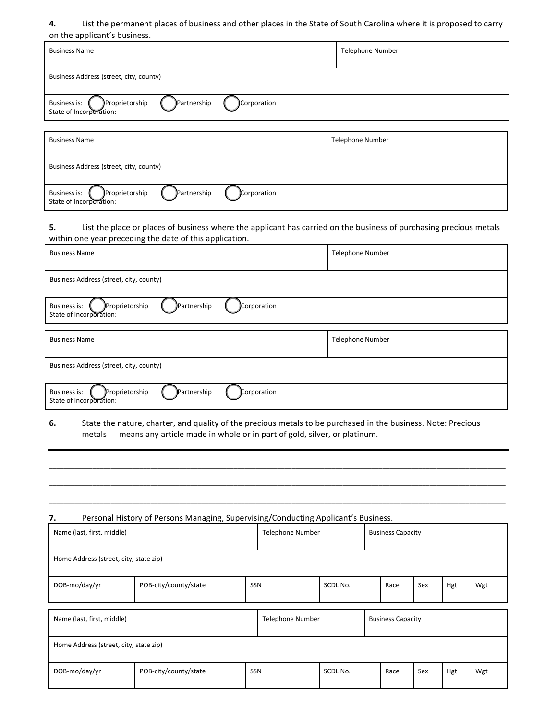#### **4.** List the permanent places of business and other places in the State of South Carolina where it is proposed to carry on the applicant's business.

| <b>Business Name</b>                                                                           | <b>Telephone Number</b> |
|------------------------------------------------------------------------------------------------|-------------------------|
| Business Address (street, city, county)                                                        |                         |
| <b>Partnership</b><br>Proprietorship<br>Corporation<br>Business is:<br>State of Incorporation: |                         |

| <b>Business Name</b>                                                                    | Telephone Number |
|-----------------------------------------------------------------------------------------|------------------|
| Business Address (street, city, county)                                                 |                  |
| Partnership<br>Proprietorship<br>Business is:<br>Corporation<br>State of Incorporation: |                  |

# **5.** List the place or places of business where the applicant has carried on the business of purchasing precious metals within one year preceding the date of this application.

| <b>Business Name</b>                                                                    | <b>Telephone Number</b> |  |  |  |  |  |
|-----------------------------------------------------------------------------------------|-------------------------|--|--|--|--|--|
| Business Address (street, city, county)                                                 |                         |  |  |  |  |  |
| Proprietorship<br>Partnership<br>Corporation<br>Business is:<br>State of Incorporation: |                         |  |  |  |  |  |
| <b>Business Name</b>                                                                    | Telephone Number        |  |  |  |  |  |
| Business Address (street, city, county)                                                 |                         |  |  |  |  |  |
| Proprietorship<br>Partnership<br>Corporation<br>Business is:<br>State of Incorporation: |                         |  |  |  |  |  |

**6.** State the nature, charter, and quality of the precious metals to be purchased in the business. Note: Precious metals means any article made in whole or in part of gold, silver, or platinum.

\_\_\_\_\_\_\_\_\_\_\_\_\_\_\_\_\_\_\_\_\_\_\_\_\_\_\_\_\_\_\_\_\_\_\_\_\_\_\_\_\_\_\_\_\_\_\_\_\_\_\_\_\_\_\_\_\_\_\_\_\_\_\_\_\_\_\_\_\_\_\_\_\_\_\_\_\_\_\_\_\_\_\_\_\_\_\_\_\_\_\_\_\_\_\_\_\_\_\_\_\_\_\_\_\_\_\_\_\_\_\_\_\_\_\_\_\_\_\_\_\_\_\_\_\_\_  $\mathcal{L} = \{ \mathcal{L} = \{ \mathcal{L} = \{ \mathcal{L} = \{ \mathcal{L} = \{ \mathcal{L} = \{ \mathcal{L} = \{ \mathcal{L} = \{ \mathcal{L} = \{ \mathcal{L} = \{ \mathcal{L} = \{ \mathcal{L} = \{ \mathcal{L} = \{ \mathcal{L} = \{ \mathcal{L} = \{ \mathcal{L} = \{ \mathcal{L} = \{ \mathcal{L} = \{ \mathcal{L} = \{ \mathcal{L} = \{ \mathcal{L} = \{ \mathcal{L} = \{ \mathcal{L} = \{ \mathcal{L} = \{ \mathcal{$ \_\_\_\_\_\_\_\_\_\_\_\_\_\_\_\_\_\_\_\_\_\_\_\_\_\_\_\_\_\_\_\_\_\_\_\_\_\_\_\_\_\_\_\_\_\_\_\_\_\_\_\_\_\_\_\_\_\_\_\_\_\_\_\_\_\_\_\_\_\_\_\_\_\_\_\_\_\_\_\_\_\_\_\_\_\_\_\_\_\_\_\_\_\_\_\_\_\_\_\_\_\_\_\_\_\_\_\_\_\_\_\_\_\_\_\_\_\_\_\_\_\_\_\_\_\_

7. Personal History of Persons Managing, Supervising/Conducting Applicant's Business.

j

| $\tilde{\phantom{a}}$<br>Name (last, first, middle) |                       |     | <b>Telephone Number</b> |          |                          | <b>Business Capacity</b> |     |     |     |  |  |
|-----------------------------------------------------|-----------------------|-----|-------------------------|----------|--------------------------|--------------------------|-----|-----|-----|--|--|
| Home Address (street, city, state zip)              |                       |     |                         |          |                          |                          |     |     |     |  |  |
| DOB-mo/day/yr                                       | POB-city/county/state | SSN |                         | SCDL No. |                          | Race                     | Sex | Hgt | Wgt |  |  |
|                                                     |                       |     |                         |          |                          |                          |     |     |     |  |  |
| Name (last, first, middle)                          |                       |     | <b>Telephone Number</b> |          | <b>Business Capacity</b> |                          |     |     |     |  |  |
| Home Address (street, city, state zip)              |                       |     |                         |          |                          |                          |     |     |     |  |  |
| DOB-mo/day/yr                                       | POB-city/county/state | SSN |                         | SCDL No. |                          | Race                     | Sex | Hgt | Wgt |  |  |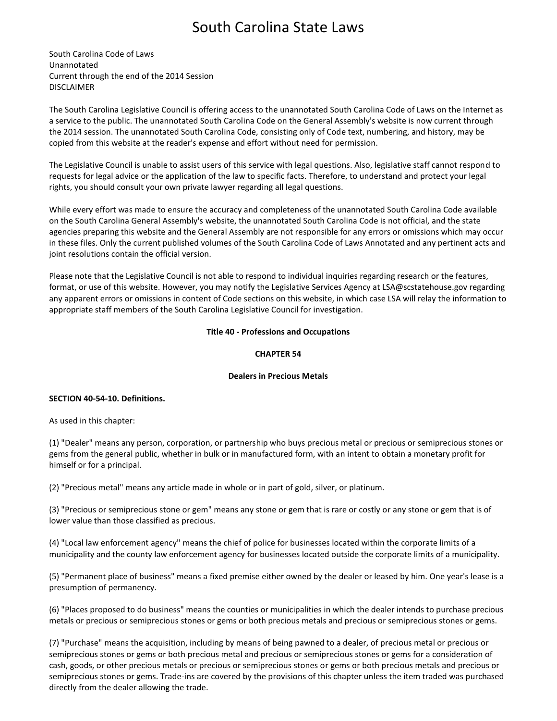# South Carolina State Laws

South Carolina Code of Laws Unannotated Current through the end of the 2014 Session DISCLAIMER

The South Carolina Legislative Council is offering access to the unannotated South Carolina Code of Laws on the Internet as a service to the public. The unannotated South Carolina Code on the General Assembly's website is now current through the 2014 session. The unannotated South Carolina Code, consisting only of Code text, numbering, and history, may be copied from this website at the reader's expense and effort without need for permission.

The Legislative Council is unable to assist users of this service with legal questions. Also, legislative staff cannot respond to requests for legal advice or the application of the law to specific facts. Therefore, to understand and protect your legal rights, you should consult your own private lawyer regarding all legal questions.

While every effort was made to ensure the accuracy and completeness of the unannotated South Carolina Code available on the South Carolina General Assembly's website, the unannotated South Carolina Code is not official, and the state agencies preparing this website and the General Assembly are not responsible for any errors or omissions which may occur in these files. Only the current published volumes of the South Carolina Code of Laws Annotated and any pertinent acts and joint resolutions contain the official version.

Please note that the Legislative Council is not able to respond to individual inquiries regarding research or the features, format, or use of this website. However, you may notify the Legislative Services Agency at LSA@scstatehouse.gov regarding any apparent errors or omissions in content of Code sections on this website, in which case LSA will relay the information to appropriate staff members of the South Carolina Legislative Council for investigation.

# **Title 40 - Professions and Occupations**

# **CHAPTER 54**

# **Dealers in Precious Metals**

# **SECTION 40-54-10. Definitions.**

As used in this chapter:

(1) "Dealer" means any person, corporation, or partnership who buys precious metal or precious or semiprecious stones or gems from the general public, whether in bulk or in manufactured form, with an intent to obtain a monetary profit for himself or for a principal.

(2) "Precious metal" means any article made in whole or in part of gold, silver, or platinum.

(3) "Precious or semiprecious stone or gem" means any stone or gem that is rare or costly or any stone or gem that is of lower value than those classified as precious.

(4) "Local law enforcement agency" means the chief of police for businesses located within the corporate limits of a municipality and the county law enforcement agency for businesses located outside the corporate limits of a municipality.

(5) "Permanent place of business" means a fixed premise either owned by the dealer or leased by him. One year's lease is a presumption of permanency.

(6) "Places proposed to do business" means the counties or municipalities in which the dealer intends to purchase precious metals or precious or semiprecious stones or gems or both precious metals and precious or semiprecious stones or gems.

(7) "Purchase" means the acquisition, including by means of being pawned to a dealer, of precious metal or precious or semiprecious stones or gems or both precious metal and precious or semiprecious stones or gems for a consideration of cash, goods, or other precious metals or precious or semiprecious stones or gems or both precious metals and precious or semiprecious stones or gems. Trade-ins are covered by the provisions of this chapter unless the item traded was purchased directly from the dealer allowing the trade.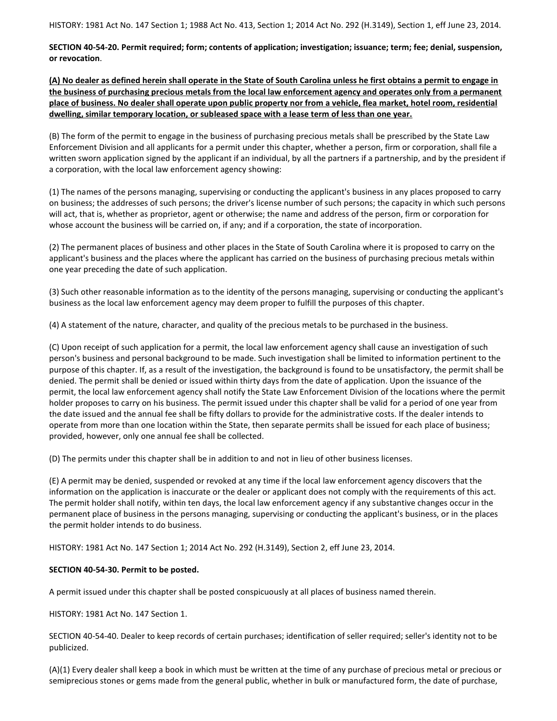HISTORY: 1981 Act No. 147 Section 1; 1988 Act No. 413, Section 1; 2014 Act No. 292 (H.3149), Section 1, eff June 23, 2014.

**SECTION 40-54-20. Permit required; form; contents of application; investigation; issuance; term; fee; denial, suspension, or revocation**.

**(A) No dealer as defined herein shall operate in the State of South Carolina unless he first obtains a permit to engage in the business of purchasing precious metals from the local law enforcement agency and operates only from a permanent place of business. No dealer shall operate upon public property nor from a vehicle, flea market, hotel room, residential dwelling, similar temporary location, or subleased space with a lease term of less than one year.**

(B) The form of the permit to engage in the business of purchasing precious metals shall be prescribed by the State Law Enforcement Division and all applicants for a permit under this chapter, whether a person, firm or corporation, shall file a written sworn application signed by the applicant if an individual, by all the partners if a partnership, and by the president if a corporation, with the local law enforcement agency showing:

(1) The names of the persons managing, supervising or conducting the applicant's business in any places proposed to carry on business; the addresses of such persons; the driver's license number of such persons; the capacity in which such persons will act, that is, whether as proprietor, agent or otherwise; the name and address of the person, firm or corporation for whose account the business will be carried on, if any; and if a corporation, the state of incorporation.

(2) The permanent places of business and other places in the State of South Carolina where it is proposed to carry on the applicant's business and the places where the applicant has carried on the business of purchasing precious metals within one year preceding the date of such application.

(3) Such other reasonable information as to the identity of the persons managing, supervising or conducting the applicant's business as the local law enforcement agency may deem proper to fulfill the purposes of this chapter.

(4) A statement of the nature, character, and quality of the precious metals to be purchased in the business.

(C) Upon receipt of such application for a permit, the local law enforcement agency shall cause an investigation of such person's business and personal background to be made. Such investigation shall be limited to information pertinent to the purpose of this chapter. If, as a result of the investigation, the background is found to be unsatisfactory, the permit shall be denied. The permit shall be denied or issued within thirty days from the date of application. Upon the issuance of the permit, the local law enforcement agency shall notify the State Law Enforcement Division of the locations where the permit holder proposes to carry on his business. The permit issued under this chapter shall be valid for a period of one year from the date issued and the annual fee shall be fifty dollars to provide for the administrative costs. If the dealer intends to operate from more than one location within the State, then separate permits shall be issued for each place of business; provided, however, only one annual fee shall be collected.

(D) The permits under this chapter shall be in addition to and not in lieu of other business licenses.

(E) A permit may be denied, suspended or revoked at any time if the local law enforcement agency discovers that the information on the application is inaccurate or the dealer or applicant does not comply with the requirements of this act. The permit holder shall notify, within ten days, the local law enforcement agency if any substantive changes occur in the permanent place of business in the persons managing, supervising or conducting the applicant's business, or in the places the permit holder intends to do business.

HISTORY: 1981 Act No. 147 Section 1; 2014 Act No. 292 (H.3149), Section 2, eff June 23, 2014.

# **SECTION 40-54-30. Permit to be posted.**

A permit issued under this chapter shall be posted conspicuously at all places of business named therein.

HISTORY: 1981 Act No. 147 Section 1.

SECTION 40-54-40. Dealer to keep records of certain purchases; identification of seller required; seller's identity not to be publicized.

(A)(1) Every dealer shall keep a book in which must be written at the time of any purchase of precious metal or precious or semiprecious stones or gems made from the general public, whether in bulk or manufactured form, the date of purchase,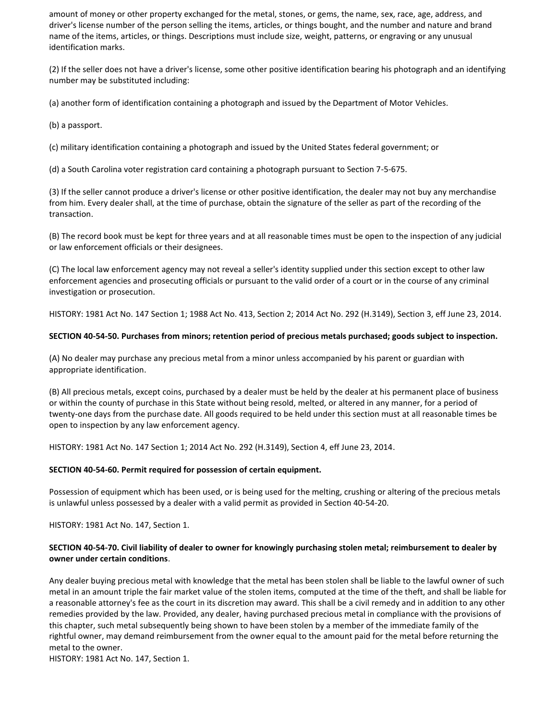amount of money or other property exchanged for the metal, stones, or gems, the name, sex, race, age, address, and driver's license number of the person selling the items, articles, or things bought, and the number and nature and brand name of the items, articles, or things. Descriptions must include size, weight, patterns, or engraving or any unusual identification marks.

(2) If the seller does not have a driver's license, some other positive identification bearing his photograph and an identifying number may be substituted including:

(a) another form of identification containing a photograph and issued by the Department of Motor Vehicles.

(b) a passport.

(c) military identification containing a photograph and issued by the United States federal government; or

(d) a South Carolina voter registration card containing a photograph pursuant to Section 7-5-675.

(3) If the seller cannot produce a driver's license or other positive identification, the dealer may not buy any merchandise from him. Every dealer shall, at the time of purchase, obtain the signature of the seller as part of the recording of the transaction.

(B) The record book must be kept for three years and at all reasonable times must be open to the inspection of any judicial or law enforcement officials or their designees.

(C) The local law enforcement agency may not reveal a seller's identity supplied under this section except to other law enforcement agencies and prosecuting officials or pursuant to the valid order of a court or in the course of any criminal investigation or prosecution.

HISTORY: 1981 Act No. 147 Section 1; 1988 Act No. 413, Section 2; 2014 Act No. 292 (H.3149), Section 3, eff June 23, 2014.

#### **SECTION 40-54-50. Purchases from minors; retention period of precious metals purchased; goods subject to inspection.**

(A) No dealer may purchase any precious metal from a minor unless accompanied by his parent or guardian with appropriate identification.

(B) All precious metals, except coins, purchased by a dealer must be held by the dealer at his permanent place of business or within the county of purchase in this State without being resold, melted, or altered in any manner, for a period of twenty-one days from the purchase date. All goods required to be held under this section must at all reasonable times be open to inspection by any law enforcement agency.

HISTORY: 1981 Act No. 147 Section 1; 2014 Act No. 292 (H.3149), Section 4, eff June 23, 2014.

#### **SECTION 40-54-60. Permit required for possession of certain equipment.**

Possession of equipment which has been used, or is being used for the melting, crushing or altering of the precious metals is unlawful unless possessed by a dealer with a valid permit as provided in Section 40-54-20.

HISTORY: 1981 Act No. 147, Section 1.

#### **SECTION 40-54-70. Civil liability of dealer to owner for knowingly purchasing stolen metal; reimbursement to dealer by owner under certain conditions**.

Any dealer buying precious metal with knowledge that the metal has been stolen shall be liable to the lawful owner of such metal in an amount triple the fair market value of the stolen items, computed at the time of the theft, and shall be liable for a reasonable attorney's fee as the court in its discretion may award. This shall be a civil remedy and in addition to any other remedies provided by the law. Provided, any dealer, having purchased precious metal in compliance with the provisions of this chapter, such metal subsequently being shown to have been stolen by a member of the immediate family of the rightful owner, may demand reimbursement from the owner equal to the amount paid for the metal before returning the metal to the owner.

HISTORY: 1981 Act No. 147, Section 1.